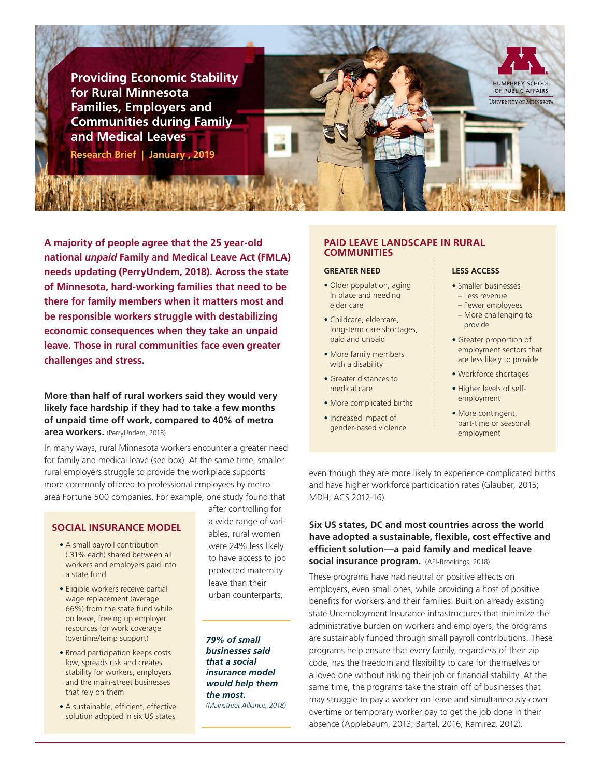**Providing Economic Stability for Rural Minnesota Families, Employers and Communities during Family and Medical Leaves**

**Research Brief | January , 2019**

**A majority of people agree that the 25 year-old national** *unpaid* **Family and Medical Leave Act (FMLA) needs updating (PerryUndem, 2018). Across the state of Minnesota, hard-working families that need to be there for family members when it matters most and be responsible workers struggle with destabilizing economic consequences when they take an unpaid leave. Those in rural communities face even greater challenges and stress.**

### **More than half of rural workers said they would very likely face hardship if they had to take a few months of unpaid time off work, compared to 40% of metro area workers.** (PerryUndem, 2018)

In many ways, rural Minnesota workers encounter a greater need for family and medical leave (see box). At the same time, smaller rural employers struggle to provide the workplace supports more commonly offered to professional employees by metro area Fortune 500 companies. For example, one study found that

#### **SOCIAL INSURANCE MODEL**

- A small payroll contribution (.31% each) shared between all workers and employers paid into a state fund
- Eligible workers receive partial wage replacement (average 66%) from the state fund while on leave, freeing up employer resources for work coverage (overtime/temp support)
- Broad participation keeps costs low, spreads risk and creates stability for workers, employers and the main-street businesses that rely on them
- A sustainable, efficient, effective solution adopted in six US states

after controlling for a wide range of variables, rural women were 24% less likely to have access to job protected maternity leave than their urban counterparts,

*79% of small businesses said that a social insurance model would help them the most. (Mainstreet Alliance, 2018)*

#### **PAID LEAVE LANDSCAPE IN RURAL COMMUNITIES**

#### **GREATER NEED**

- Older population, aging in place and needing elder care
- Childcare, eldercare, long-term care shortages, paid and unpaid
- More family members with a disability
- Greater distances to medical care
- More complicated births
- Increased impact of gender-based violence

### **LESS ACCESS**

- Smaller businesses
- Less revenue
- Fewer employees – More challenging to provide

HUMPHREY SCHOOL OF PUBLIC AFFAIRS UNIVERSITY OF MINNESOTA

- Greater proportion of employment sectors that are less likely to provide
- Workforce shortages
- Higher levels of selfemployment
- More contingent, part-time or seasonal employment

even though they are more likely to experience complicated births and have higher workforce participation rates (Glauber, 2015; MDH; ACS 2012-16).

## **Six US states, DC and most countries across the world have adopted a sustainable, flexible, cost effective and efficient solution—a paid family and medical leave social insurance program.** (AEI-Brookings, 2018)

These programs have had neutral or positive effects on employers, even small ones, while providing a host of positive benefits for workers and their families. Built on already existing state Unemployment Insurance infrastructures that minimize the administrative burden on workers and employers, the programs are sustainably funded through small payroll contributions. These programs help ensure that every family, regardless of their zip code, has the freedom and flexibility to care for themselves or a loved one without risking their job or financial stability. At the same time, the programs take the strain off of businesses that may struggle to pay a worker on leave and simultaneously cover overtime or temporary worker pay to get the job done in their absence (Applebaum, 2013; Bartel, 2016; Ramirez, 2012).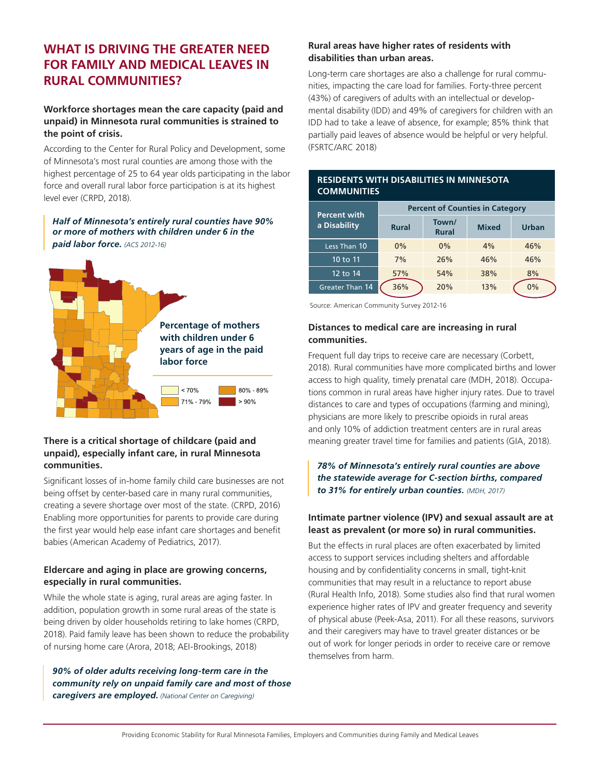# **WHAT IS DRIVING THE GREATER NEED FOR FAMILY AND MEDICAL LEAVES IN RURAL COMMUNITIES?**

## **Workforce shortages mean the care capacity (paid and unpaid) in Minnesota rural communities is strained to the point of crisis.**

According to the Center for Rural Policy and Development, some of Minnesota's most rural counties are among those with the highest percentage of 25 to 64 year olds participating in the labor force and overall rural labor force participation is at its highest level ever (CRPD, 2018).

### *Half of Minnesota's entirely rural counties have 90% or more of mothers with children under 6 in the paid labor force. (ACS 2012-16)*



## **There is a critical shortage of childcare (paid and unpaid), especially infant care, in rural Minnesota communities.**

Significant losses of in-home family child care businesses are not being offset by center-based care in many rural communities, creating a severe shortage over most of the state. (CRPD, 2016) Enabling more opportunities for parents to provide care during the first year would help ease infant care shortages and benefit babies (American Academy of Pediatrics, 2017).

## **Eldercare and aging in place are growing concerns, especially in rural communities.**

While the whole state is aging, rural areas are aging faster. In addition, population growth in some rural areas of the state is being driven by older households retiring to lake homes (CRPD, 2018). Paid family leave has been shown to reduce the probability of nursing home care (Arora, 2018; AEI-Brookings, 2018)

*90% of older adults receiving long-term care in the community rely on unpaid family care and most of those caregivers are employed. (National Center on Caregiving)*

## **Rural areas have higher rates of residents with disabilities than urban areas.**

Long-term care shortages are also a challenge for rural communities, impacting the care load for families. Forty-three percent (43%) of caregivers of adults with an intellectual or developmental disability (IDD) and 49% of caregivers for children with an IDD had to take a leave of absence, for example; 85% think that partially paid leaves of absence would be helpful or very helpful. (FSRTC/ARC 2018)

| <b>RESIDENTS WITH DISABILITIES IN MINNESOTA</b><br><b>COMMUNITIES</b> |                                        |                       |              |              |  |  |  |  |
|-----------------------------------------------------------------------|----------------------------------------|-----------------------|--------------|--------------|--|--|--|--|
| <b>Percent with</b>                                                   | <b>Percent of Counties in Category</b> |                       |              |              |  |  |  |  |
| a Disability                                                          | <b>Rural</b>                           | Town/<br><b>Rural</b> | <b>Mixed</b> | <b>Urban</b> |  |  |  |  |
| Less Than 10                                                          | $0\%$                                  | 0%                    | 4%           | 46%          |  |  |  |  |
| 10 to 11                                                              | 7%                                     | 26%                   | 46%          | 46%          |  |  |  |  |
| 12 to 14                                                              | 57%                                    | 54%                   | 38%          | 8%           |  |  |  |  |
| Greater Than 14                                                       | 36%                                    | 20%                   | 13%          | 0%           |  |  |  |  |

Source: American Community Survey 2012-16

## **Distances to medical care are increasing in rural communities.**

Frequent full day trips to receive care are necessary (Corbett, 2018). Rural communities have more complicated births and lower access to high quality, timely prenatal care (MDH, 2018). Occupations common in rural areas have higher injury rates. Due to travel distances to care and types of occupations (farming and mining), physicians are more likely to prescribe opioids in rural areas and only 10% of addiction treatment centers are in rural areas meaning greater travel time for families and patients (GIA, 2018).

## *78% of Minnesota's entirely rural counties are above the statewide average for C-section births, compared to 31% for entirely urban counties. (MDH, 2017)*

## **Intimate partner violence (IPV) and sexual assault are at least as prevalent (or more so) in rural communities.**

But the effects in rural places are often exacerbated by limited access to support services including shelters and affordable housing and by confidentiality concerns in small, tight-knit communities that may result in a reluctance to report abuse (Rural Health Info, 2018). Some studies also find that rural women experience higher rates of IPV and greater frequency and severity of physical abuse (Peek-Asa, 2011). For all these reasons, survivors and their caregivers may have to travel greater distances or be out of work for longer periods in order to receive care or remove themselves from harm.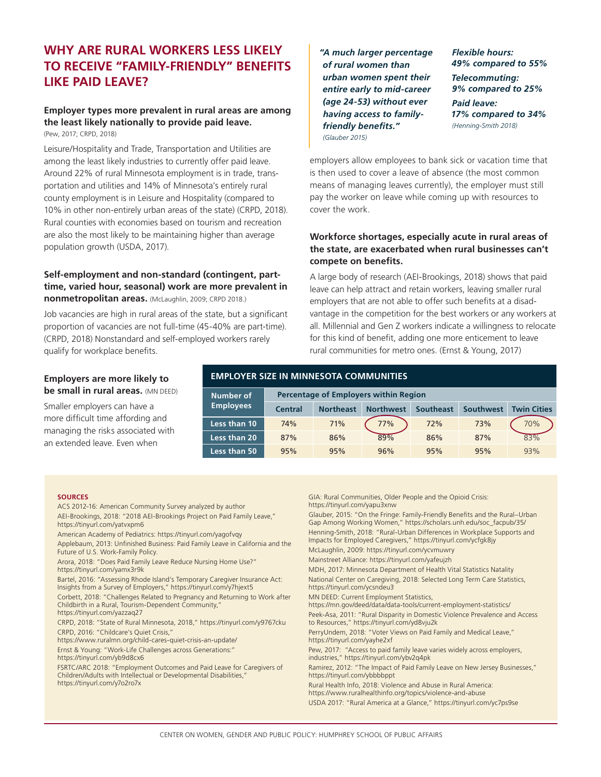# **WHY ARE RURAL WORKERS LESS LIKELY TO RECEIVE "FAMILY-FRIENDLY" BENEFITS LIKE PAID LEAVE?**

#### **Employer types more prevalent in rural areas are among the least likely nationally to provide paid leave.** (Pew, 2017; CRPD, 2018)

Leisure/Hospitality and Trade, Transportation and Utilities are among the least likely industries to currently offer paid leave. Around 22% of rural Minnesota employment is in trade, transportation and utilities and 14% of Minnesota's entirely rural county employment is in Leisure and Hospitality (compared to 10% in other non-entirely urban areas of the state) (CRPD, 2018). Rural counties with economies based on tourism and recreation are also the most likely to be maintaining higher than average population growth (USDA, 2017).

## **Self-employment and non-standard (contingent, parttime, varied hour, seasonal) work are more prevalent in nonmetropolitan areas.** (McLaughlin, 2009; CRPD 2018.)

Job vacancies are high in rural areas of the state, but a significant proportion of vacancies are not full-time (45-40% are part-time). (CRPD, 2018) Nonstandard and self-employed workers rarely qualify for workplace benefits.

*"A much larger percentage of rural women than urban women spent their entire early to mid-career (age 24-53) without ever having access to familyfriendly benefits." (Glauber 2015)*

## *Flexible hours: 49% compared to 55% Telecommuting: 9% compared to 25%*

*Paid leave: 17% compared to 34% (Henning-Smith 2018)*

employers allow employees to bank sick or vacation time that is then used to cover a leave of absence (the most common means of managing leaves currently), the employer must still pay the worker on leave while coming up with resources to cover the work.

## **Workforce shortages, especially acute in rural areas of the state, are exacerbated when rural businesses can't compete on benefits.**

A large body of research (AEI-Brookings, 2018) shows that paid leave can help attract and retain workers, leaving smaller rural employers that are not able to offer such benefits at a disadvantage in the competition for the best workers or any workers at all. Millennial and Gen Z workers indicate a willingness to relocate for this kind of benefit, adding one more enticement to leave rural communities for metro ones. (Ernst & Young, 2017)

## **Employers are more likely to be small in rural areas.** (MN DEED)

Smaller employers can have a more difficult time affording and managing the risks associated with an extended leave. Even when

## **EMPLOYER SIZE IN MINNESOTA COMMUNITIES**

| Number of<br><b>Employees</b> | <b>Percentage of Employers within Region</b> |                  |                  |           |                  |                    |  |  |
|-------------------------------|----------------------------------------------|------------------|------------------|-----------|------------------|--------------------|--|--|
|                               | Central                                      | <b>Northeast</b> | <b>Northwest</b> | Southeast | <b>Southwest</b> | <b>Twin Cities</b> |  |  |
| Less than 10                  | 74%                                          | 71%              | 77%              | 72%       | 73%              | 70%                |  |  |
| Less than 20                  | 87%                                          | 86%              | 89%              | 86%       | 87%              | 83%                |  |  |
| Less than 50                  | 95%                                          | 95%              | 96%              | 95%       | 95%              | 93%                |  |  |

#### **SOURCES**

ACS 2012-16: American Community Survey analyzed by author AEI-Brookings, 2018: "2018 AEI-Brookings Project on Paid Family Leave," https://tinyurl.com/yatvxpm6

American Academy of Pediatrics: https://tinyurl.com/yagofvqy

Applebaum, 2013: Unfinished Business: Paid Family Leave in California and the Future of U.S. Work-Family Policy.

Arora, 2018: "Does Paid Family Leave Reduce Nursing Home Use?" https://tinyurl.com/yamx3r9k

Bartel, 2016: "Assessing Rhode Island's Temporary Caregiver Insurance Act: Insights from a Survey of Employers," https://tinyurl.com/y7hjext5

Corbett, 2018: "Challenges Related to Pregnancy and Returning to Work after Childbirth in a Rural, Tourism-Dependent Community," https://tinyurl.com/yazzaq27

CRPD, 2018: "State of Rural Minnesota, 2018," https://tinyurl.com/y9767cku

CRPD, 2016: "Childcare's Quiet Crisis,"

https://www.ruralmn.org/child-cares-quiet-crisis-an-update/ Ernst & Young: "Work-Life Challenges across Generations:"

https://tinyurl.com/yb9d8cx6

FSRTC/ARC 2018: "Employment Outcomes and Paid Leave for Caregivers of Children/Adults with Intellectual or Developmental Disabilities," https://tinyurl.com/y7o2ro7x

GIA: Rural Communities, Older People and the Opioid Crisis: https://tinyurl.com/yapu3xnw

Glauber, 2015: "On the Fringe: Family-Friendly Benefits and the Rural–Urban Gap Among Working Women," https://scholars.unh.edu/soc\_facpub/35/ Henning-Smith, 2018: "Rural-Urban Differences in Workplace Supports and Impacts for Employed Caregivers," https://tinyurl.com/ycfgk8jy

McLaughlin, 2009: https://tinyurl.com/ycvmuwry

Mainstreet Alliance: https://tinyurl.com/yafeujzh

MDH, 2017: Minnesota Department of Health Vital Statistics Natality National Center on Caregiving, 2018: Selected Long Term Care Statistics, https://tinyurl.com/ycsndeu3

MN DEED: Current Employment Statistics,

https://mn.gov/deed/data/data-tools/current-employment-statistics/

Peek-Asa, 2011: "Rural Disparity in Domestic Violence Prevalence and Access to Resources," https://tinyurl.com/yd8vju2k

PerryUndem, 2018: "Voter Views on Paid Family and Medical Leave," https://tinyurl.com/yayhe2xf

Pew, 2017: "Access to paid family leave varies widely across employers, industries," https://tinyurl.com/ybv2q4pk

Ramirez, 2012: "The Impact of Paid Family Leave on New Jersey Businesses," https://tinyurl.com/ybbbbppt

Rural Health Info, 2018: Violence and Abuse in Rural America: https://www.ruralhealthinfo.org/topics/violence-and-abuse USDA 2017: "Rural America at a Glance," https://tinyurl.com/yc7ps9se